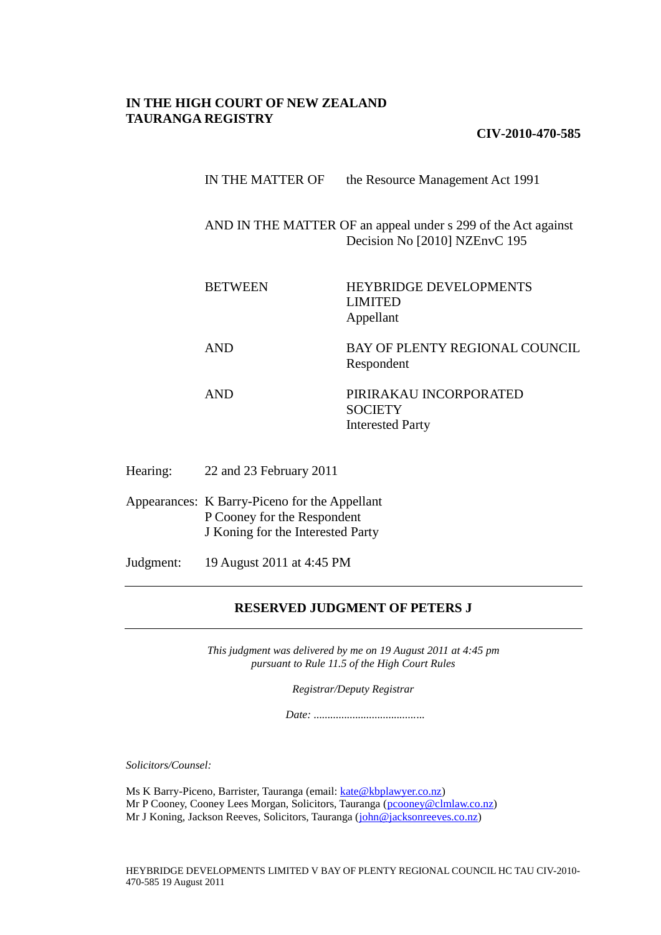## **IN THE HIGH COURT OF NEW ZEALAND TAURANGA REGISTRY**

**CIV-2010-470-585**

| IN THE MATTER OF | the Resource Management Act 1991 |
|------------------|----------------------------------|
|------------------|----------------------------------|

AND IN THE MATTER OF an appeal under s 299 of the Act against Decision No [2010] NZEnvC 195

BETWEEN HEYBRIDGE DEVELOPMENTS LIMITED Appellant

AND BAY OF PLENTY REGIONAL COUNCIL Respondent

- AND PIRIRAKAU INCORPORATED **SOCIETY** Interested Party
- Hearing: 22 and 23 February 2011

Appearances: K Barry-Piceno for the Appellant P Cooney for the Respondent J Koning for the Interested Party

Judgment: 19 August 2011 at 4:45 PM

## **RESERVED JUDGMENT OF PETERS J**

*This judgment was delivered by me on 19 August 2011 at 4:45 pm pursuant to Rule 11.5 of the High Court Rules*

*Registrar/Deputy Registrar*

*Date: ........................................*

*Solicitors/Counsel:*

Ms K Barry-Piceno, Barrister, Tauranga (email: [kate@kbplawyer.co.nz\)](mailto:kate@kbplawyer.co.nz) Mr P Cooney, Cooney Lees Morgan, Solicitors, Tauranga [\(pcooney@clmlaw.co.nz\)](mailto:pcooney@clmlaw.co.nz) Mr J Koning, Jackson Reeves, Solicitors, Tauranga [\(john@jacksonreeves.co.nz\)](mailto:john@jacksonreeves.co.nz)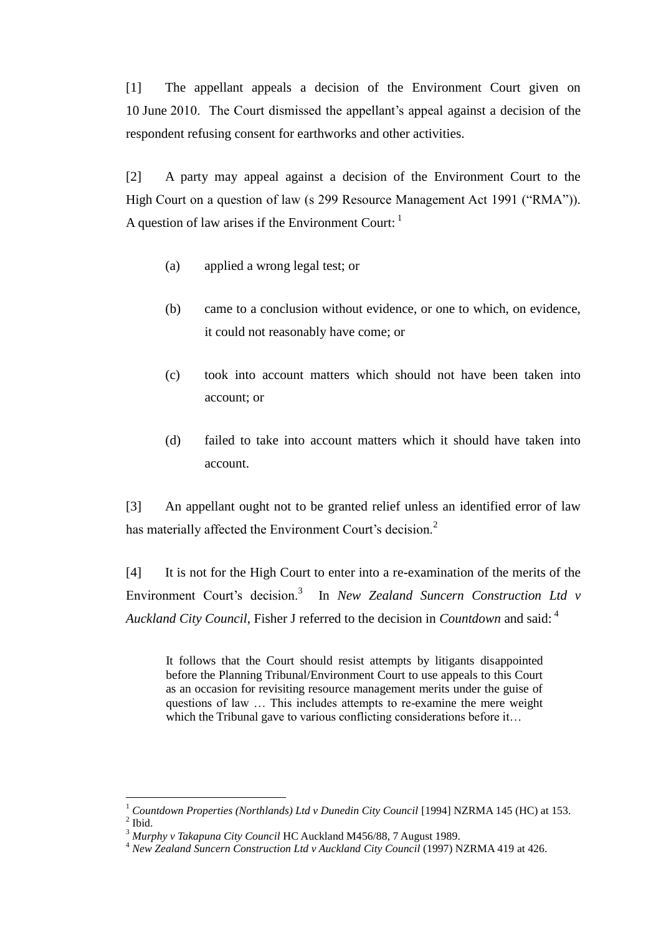[1] The appellant appeals a decision of the Environment Court given on 10 June 2010. The Court dismissed the appellant's appeal against a decision of the respondent refusing consent for earthworks and other activities.

[2] A party may appeal against a decision of the Environment Court to the High Court on a question of law (s 299 Resource Management Act 1991 ("RMA")). A question of law arises if the Environment Court:  $<sup>1</sup>$ </sup>

- (a) applied a wrong legal test; or
- (b) came to a conclusion without evidence, or one to which, on evidence, it could not reasonably have come; or
- (c) took into account matters which should not have been taken into account; or
- (d) failed to take into account matters which it should have taken into account.

[3] An appellant ought not to be granted relief unless an identified error of law has materially affected the Environment Court's decision.<sup>2</sup>

[4] It is not for the High Court to enter into a re-examination of the merits of the Environment Court's decision.<sup>3</sup> In *New Zealand Suncern Construction Ltd v Auckland City Council*, Fisher J referred to the decision in *Countdown* and said: <sup>4</sup>

It follows that the Court should resist attempts by litigants disappointed before the Planning Tribunal/Environment Court to use appeals to this Court as an occasion for revisiting resource management merits under the guise of questions of law … This includes attempts to re-examine the mere weight which the Tribunal gave to various conflicting considerations before it...

<sup>&</sup>lt;sup>1</sup> Countdown Properties (Northlands) Ltd v Dunedin City Council [1994] NZRMA 145 (HC) at 153.  $<sup>2</sup>$  Ibid.</sup>

<sup>3</sup> *Murphy v Takapuna City Council* HC Auckland M456/88, 7 August 1989.

<sup>4</sup> *New Zealand Suncern Construction Ltd v Auckland City Council* (1997) NZRMA 419 at 426.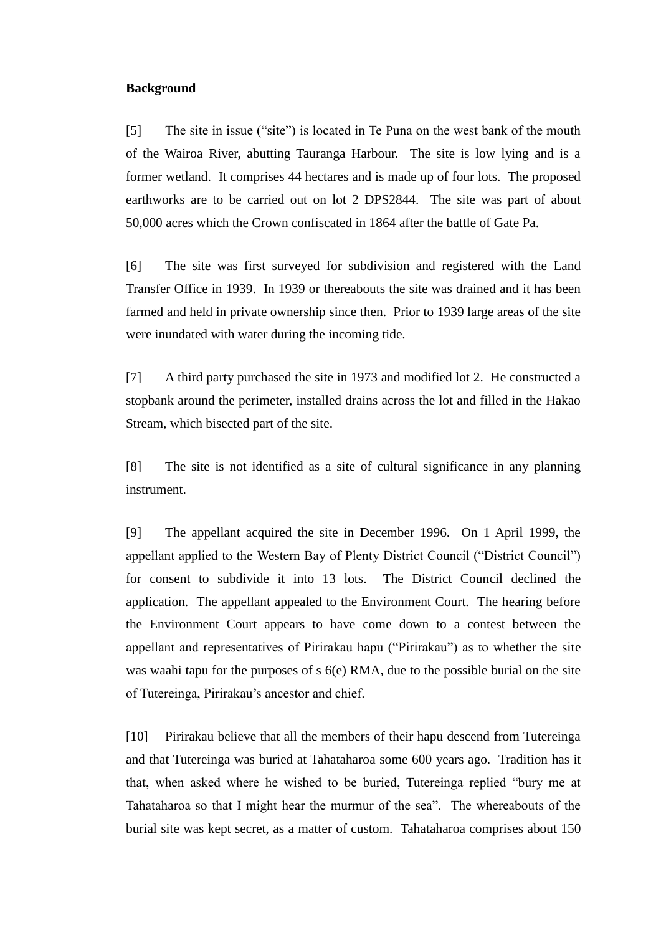#### **Background**

[5] The site in issue ("site") is located in Te Puna on the west bank of the mouth of the Wairoa River, abutting Tauranga Harbour. The site is low lying and is a former wetland. It comprises 44 hectares and is made up of four lots. The proposed earthworks are to be carried out on lot 2 DPS2844. The site was part of about 50,000 acres which the Crown confiscated in 1864 after the battle of Gate Pa.

[6] The site was first surveyed for subdivision and registered with the Land Transfer Office in 1939. In 1939 or thereabouts the site was drained and it has been farmed and held in private ownership since then. Prior to 1939 large areas of the site were inundated with water during the incoming tide.

[7] A third party purchased the site in 1973 and modified lot 2. He constructed a stopbank around the perimeter, installed drains across the lot and filled in the Hakao Stream, which bisected part of the site.

[8] The site is not identified as a site of cultural significance in any planning instrument.

[9] The appellant acquired the site in December 1996. On 1 April 1999, the appellant applied to the Western Bay of Plenty District Council ("District Council") for consent to subdivide it into 13 lots. The District Council declined the application. The appellant appealed to the Environment Court. The hearing before the Environment Court appears to have come down to a contest between the appellant and representatives of Pirirakau hapu ("Pirirakau") as to whether the site was waahi tapu for the purposes of s 6(e) RMA, due to the possible burial on the site of Tutereinga, Pirirakau's ancestor and chief.

[10] Pirirakau believe that all the members of their hapu descend from Tutereinga and that Tutereinga was buried at Tahataharoa some 600 years ago. Tradition has it that, when asked where he wished to be buried, Tutereinga replied "bury me at Tahataharoa so that I might hear the murmur of the sea". The whereabouts of the burial site was kept secret, as a matter of custom. Tahataharoa comprises about 150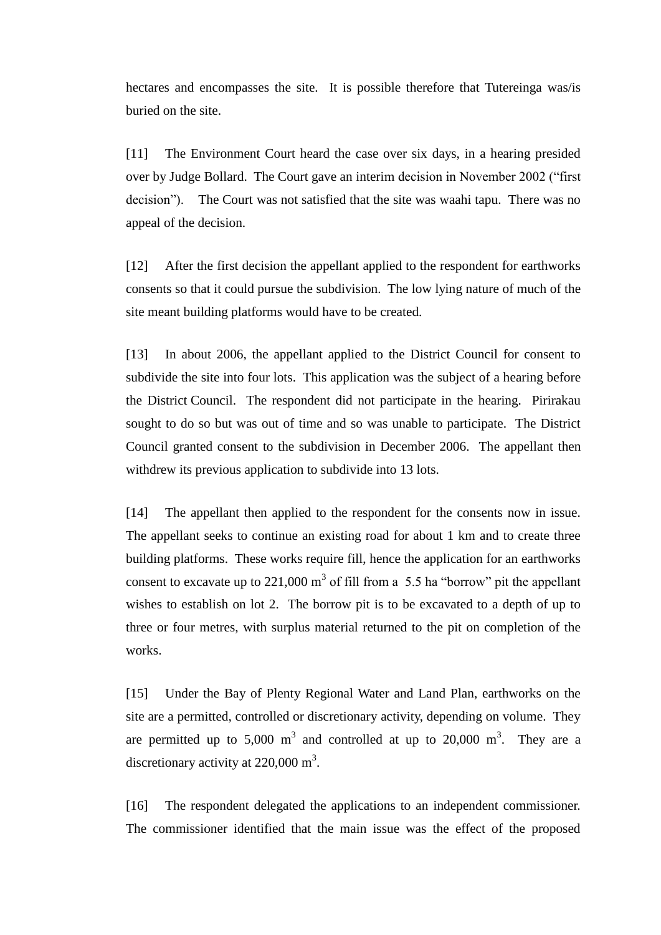hectares and encompasses the site. It is possible therefore that Tutereinga was/is buried on the site.

[11] The Environment Court heard the case over six days, in a hearing presided over by Judge Bollard. The Court gave an interim decision in November 2002 ("first decision"). The Court was not satisfied that the site was waahi tapu. There was no appeal of the decision.

[12] After the first decision the appellant applied to the respondent for earthworks consents so that it could pursue the subdivision. The low lying nature of much of the site meant building platforms would have to be created.

[13] In about 2006, the appellant applied to the District Council for consent to subdivide the site into four lots. This application was the subject of a hearing before the District Council. The respondent did not participate in the hearing. Pirirakau sought to do so but was out of time and so was unable to participate. The District Council granted consent to the subdivision in December 2006. The appellant then withdrew its previous application to subdivide into 13 lots.

[14] The appellant then applied to the respondent for the consents now in issue. The appellant seeks to continue an existing road for about 1 km and to create three building platforms. These works require fill, hence the application for an earthworks consent to excavate up to 221,000  $m<sup>3</sup>$  of fill from a 5.5 ha "borrow" pit the appellant wishes to establish on lot 2. The borrow pit is to be excavated to a depth of up to three or four metres, with surplus material returned to the pit on completion of the works.

[15] Under the Bay of Plenty Regional Water and Land Plan, earthworks on the site are a permitted, controlled or discretionary activity, depending on volume. They are permitted up to 5,000  $m<sup>3</sup>$  and controlled at up to 20,000  $m<sup>3</sup>$ . They are a discretionary activity at  $220,000 \text{ m}^3$ .

[16] The respondent delegated the applications to an independent commissioner. The commissioner identified that the main issue was the effect of the proposed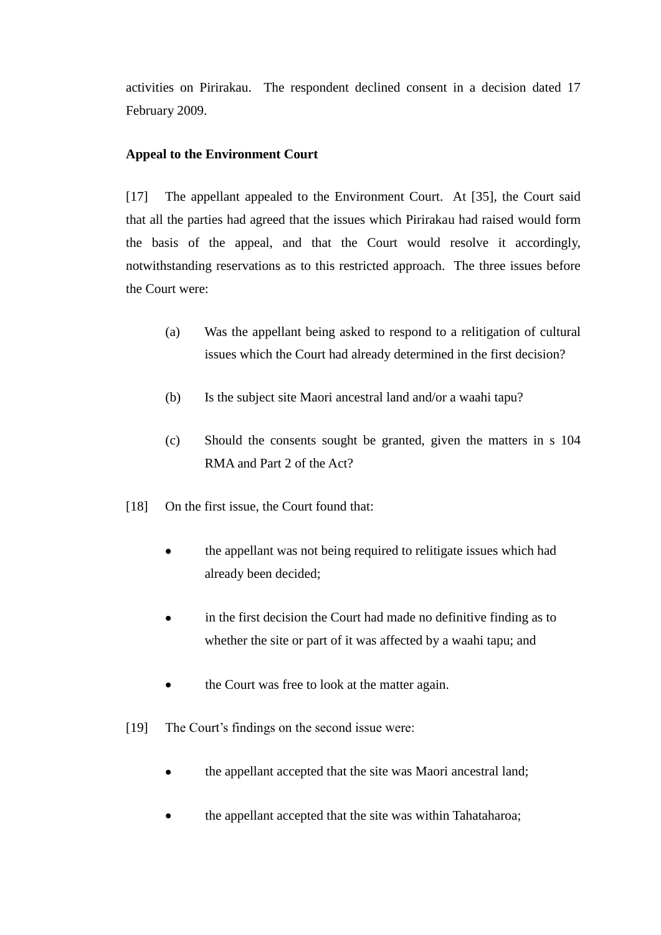activities on Pirirakau. The respondent declined consent in a decision dated 17 February 2009.

# **Appeal to the Environment Court**

[17] The appellant appealed to the Environment Court. At [35], the Court said that all the parties had agreed that the issues which Pirirakau had raised would form the basis of the appeal, and that the Court would resolve it accordingly, notwithstanding reservations as to this restricted approach. The three issues before the Court were:

- (a) Was the appellant being asked to respond to a relitigation of cultural issues which the Court had already determined in the first decision?
- (b) Is the subject site Maori ancestral land and/or a waahi tapu?
- (c) Should the consents sought be granted, given the matters in s 104 RMA and Part 2 of the Act?
- [18] On the first issue, the Court found that:
	- the appellant was not being required to relitigate issues which had already been decided;
	- in the first decision the Court had made no definitive finding as to whether the site or part of it was affected by a waahi tapu; and
	- the Court was free to look at the matter again.  $\bullet$
- [19] The Court's findings on the second issue were:
	- the appellant accepted that the site was Maori ancestral land;  $\bullet$
	- the appellant accepted that the site was within Tahataharoa;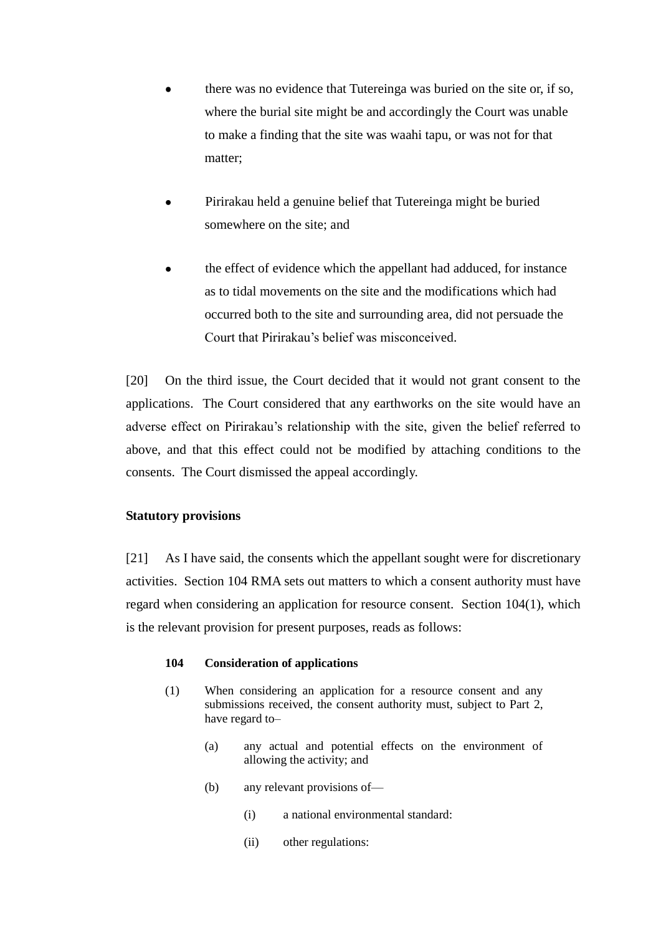- there was no evidence that Tutereinga was buried on the site or, if so, where the burial site might be and accordingly the Court was unable to make a finding that the site was waahi tapu, or was not for that matter;
- Pirirakau held a genuine belief that Tutereinga might be buried somewhere on the site; and
- the effect of evidence which the appellant had adduced, for instance as to tidal movements on the site and the modifications which had occurred both to the site and surrounding area, did not persuade the Court that Pirirakau's belief was misconceived.

[20] On the third issue, the Court decided that it would not grant consent to the applications. The Court considered that any earthworks on the site would have an adverse effect on Pirirakau's relationship with the site, given the belief referred to above, and that this effect could not be modified by attaching conditions to the consents. The Court dismissed the appeal accordingly.

#### **Statutory provisions**

[21] As I have said, the consents which the appellant sought were for discretionary activities. Section 104 RMA sets out matters to which a consent authority must have regard when considering an application for resource consent. Section 104(1), which is the relevant provision for present purposes, reads as follows:

#### **104 Consideration of applications**

- (1) When considering an application for a resource consent and any submissions received, the consent authority must, subject to Part [2,](http://www.brookersonline.co.nz/databases/modus/lawpart/statutes/link?id=ACT-NZL-PUB-Y.1991-69%7eBDY%7ePT.2&si=57359&sid=nn4aqvvwcvl61ai4sk0ulbhfpmkb5s02&hli=0&sp=statutes) have regard to–
	- (a) any actual and potential effects on the environment of allowing the activity; and
	- (b) any relevant provisions of—
		- (i) a national environmental standard:
		- (ii) other regulations: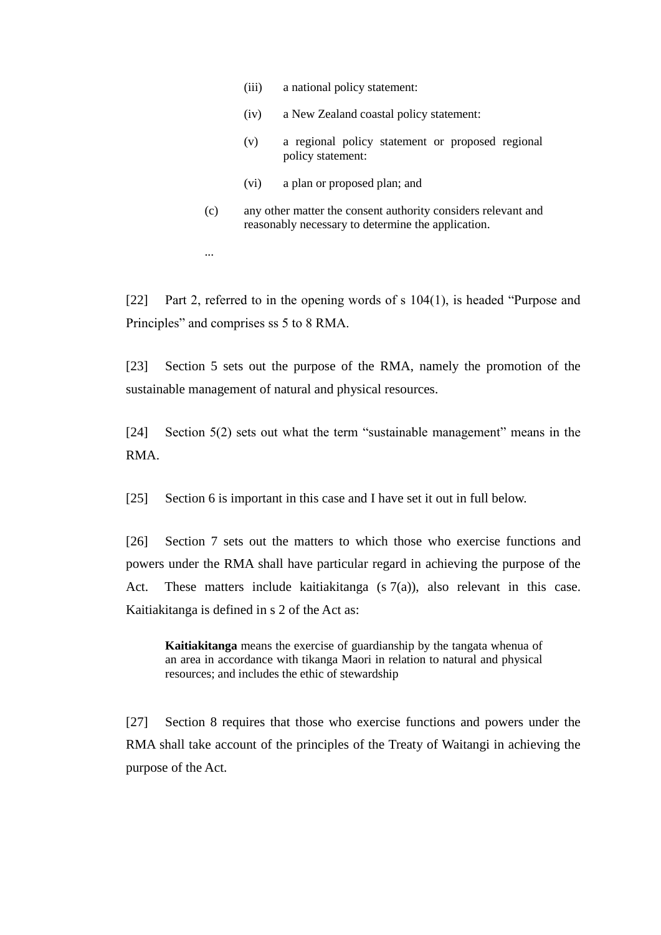- (iii) a national policy statement:
- (iv) a New Zealand coastal policy statement:
- (v) a regional policy statement or proposed regional policy statement:
- (vi) a plan or proposed plan; and
- (c) any other matter the consent authority considers relevant and reasonably necessary to determine the application.

...

[22] Part 2, referred to in the opening words of s  $104(1)$ , is headed "Purpose and Principles" and comprises ss 5 to 8 RMA.

[23] Section 5 sets out the purpose of the RMA, namely the promotion of the sustainable management of natural and physical resources.

[24] Section  $5(2)$  sets out what the term "sustainable management" means in the RMA.

[25] Section 6 is important in this case and I have set it out in full below.

[26] Section 7 sets out the matters to which those who exercise functions and powers under the RMA shall have particular regard in achieving the purpose of the Act. These matters include kaitiakitanga  $(s \, 7(a))$ , also relevant in this case. Kaitiakitanga is defined in s 2 of the Act as:

**Kaitiakitanga** means the exercise of guardianship by the tangata whenua of an area in accordance with tikanga Maori in relation to natural and physical resources; and includes the ethic of stewardship

[27] Section 8 requires that those who exercise functions and powers under the RMA shall take account of the principles of the Treaty of Waitangi in achieving the purpose of the Act.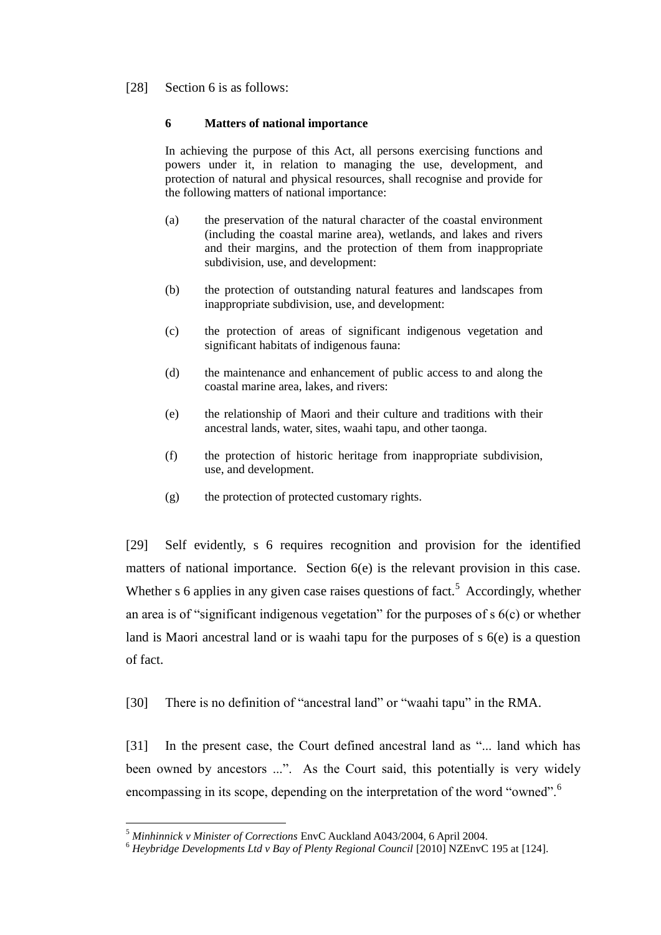### [28] Section 6 is as follows:

#### **6 Matters of national importance**

In achieving the purpose of this Act, all persons exercising functions and powers under it, in relation to managing the use, development, and protection of natural and physical resources, shall recognise and provide for the following matters of national importance:

- (a) the preservation of the natural character of the coastal environment (including the coastal marine area), wetlands, and lakes and rivers and their margins, and the protection of them from inappropriate subdivision, use, and development:
- (b) the protection of outstanding natural features and landscapes from inappropriate subdivision, use, and development:
- (c) the protection of areas of significant indigenous vegetation and significant habitats of indigenous fauna:
- (d) the maintenance and enhancement of public access to and along the coastal marine area, lakes, and rivers:
- (e) the relationship of Maori and their culture and traditions with their ancestral lands, water, sites, waahi tapu, and other taonga.
- (f) the protection of historic heritage from inappropriate subdivision, use, and development.
- (g) the protection of protected customary rights.

[29] Self evidently, s 6 requires recognition and provision for the identified matters of national importance. Section 6(e) is the relevant provision in this case. Whether s 6 applies in any given case raises questions of fact.<sup>5</sup> Accordingly, whether an area is of "significant indigenous vegetation" for the purposes of  $s$   $6(c)$  or whether land is Maori ancestral land or is waahi tapu for the purposes of s 6(e) is a question of fact.

[30] There is no definition of "ancestral land" or "waahi tapu" in the RMA.

[31] In the present case, the Court defined ancestral land as "... land which has been owned by ancestors ...". As the Court said, this potentially is very widely encompassing in its scope, depending on the interpretation of the word "owned".<sup>6</sup>

 $\overline{a}$ <sup>5</sup> *Minhinnick v Minister of Corrections* EnvC Auckland A043/2004, 6 April 2004.

<sup>6</sup> *Heybridge Developments Ltd v Bay of Plenty Regional Council* [2010] NZEnvC 195 at [124].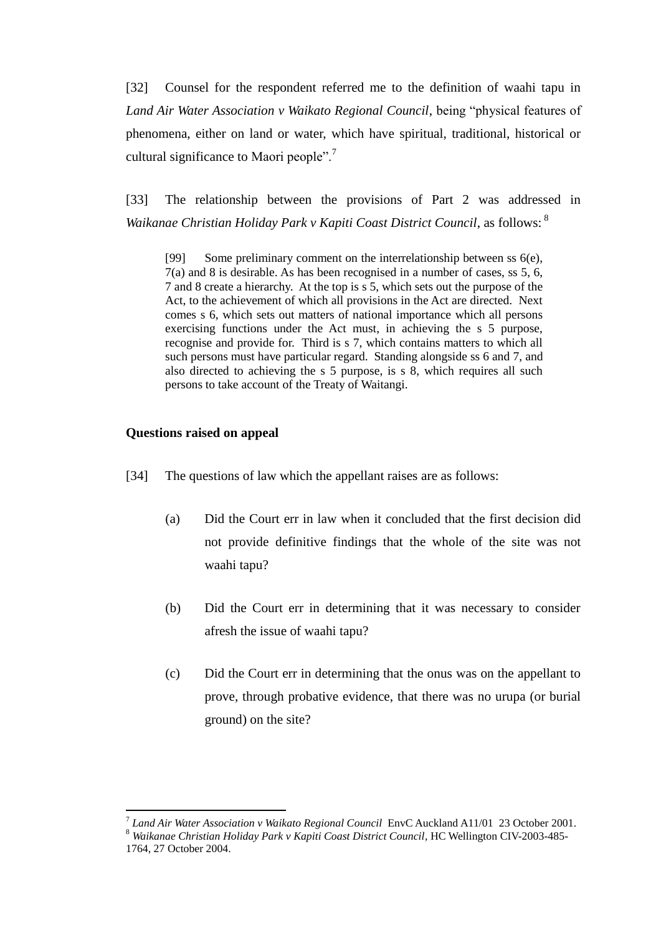[32] Counsel for the respondent referred me to the definition of waahi tapu in *Land Air Water Association v Waikato Regional Council*, being "physical features of phenomena, either on land or water, which have spiritual, traditional, historical or cultural significance to Maori people".<sup>7</sup>

[33] The relationship between the provisions of Part 2 was addressed in *Waikanae Christian Holiday Park v Kapiti Coast District Council*, as follows: <sup>8</sup>

[99] Some preliminary comment on the interrelationship between ss 6(e), 7(a) and 8 is desirable. As has been recognised in a number of cases, ss 5, 6, 7 and 8 create a hierarchy. At the top is s 5, which sets out the purpose of the Act, to the achievement of which all provisions in the Act are directed. Next comes s 6, which sets out matters of national importance which all persons exercising functions under the Act must, in achieving the s 5 purpose, recognise and provide for. Third is s 7, which contains matters to which all such persons must have particular regard. Standing alongside ss 6 and 7, and also directed to achieving the s 5 purpose, is s 8, which requires all such persons to take account of the Treaty of Waitangi.

### **Questions raised on appeal**

- [34] The questions of law which the appellant raises are as follows:
	- (a) Did the Court err in law when it concluded that the first decision did not provide definitive findings that the whole of the site was not waahi tapu?
	- (b) Did the Court err in determining that it was necessary to consider afresh the issue of waahi tapu?
	- (c) Did the Court err in determining that the onus was on the appellant to prove, through probative evidence, that there was no urupa (or burial ground) on the site?

<sup>7</sup> *Land Air Water Association v Waikato Regional Council* EnvC Auckland A11/01 23 October 2001.

<sup>8</sup> *Waikanae Christian Holiday Park v Kapiti Coast District Council*, HC Wellington CIV-2003-485- 1764, 27 October 2004.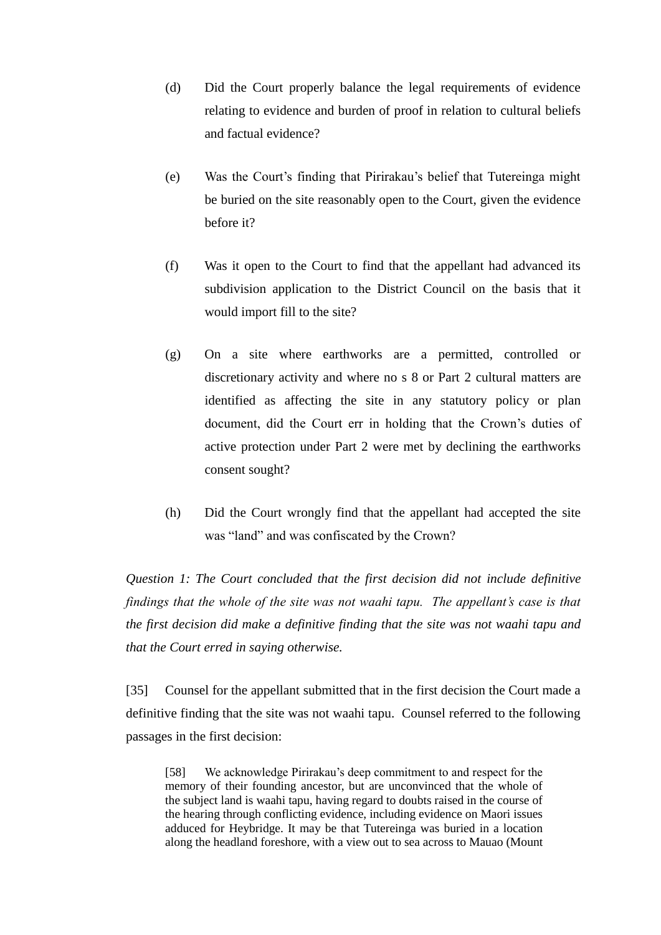- (d) Did the Court properly balance the legal requirements of evidence relating to evidence and burden of proof in relation to cultural beliefs and factual evidence?
- (e) Was the Court's finding that Pirirakau's belief that Tutereinga might be buried on the site reasonably open to the Court, given the evidence before it?
- (f) Was it open to the Court to find that the appellant had advanced its subdivision application to the District Council on the basis that it would import fill to the site?
- (g) On a site where earthworks are a permitted, controlled or discretionary activity and where no s 8 or Part 2 cultural matters are identified as affecting the site in any statutory policy or plan document, did the Court err in holding that the Crown's duties of active protection under Part 2 were met by declining the earthworks consent sought?
- (h) Did the Court wrongly find that the appellant had accepted the site was "land" and was confiscated by the Crown?

*Question 1: The Court concluded that the first decision did not include definitive findings that the whole of the site was not waahi tapu. The appellant's case is that the first decision did make a definitive finding that the site was not waahi tapu and that the Court erred in saying otherwise.*

[35] Counsel for the appellant submitted that in the first decision the Court made a definitive finding that the site was not waahi tapu. Counsel referred to the following passages in the first decision:

[58] We acknowledge Pirirakau's deep commitment to and respect for the memory of their founding ancestor, but are unconvinced that the whole of the subject land is waahi tapu, having regard to doubts raised in the course of the hearing through conflicting evidence, including evidence on Maori issues adduced for Heybridge. It may be that Tutereinga was buried in a location along the headland foreshore, with a view out to sea across to Mauao (Mount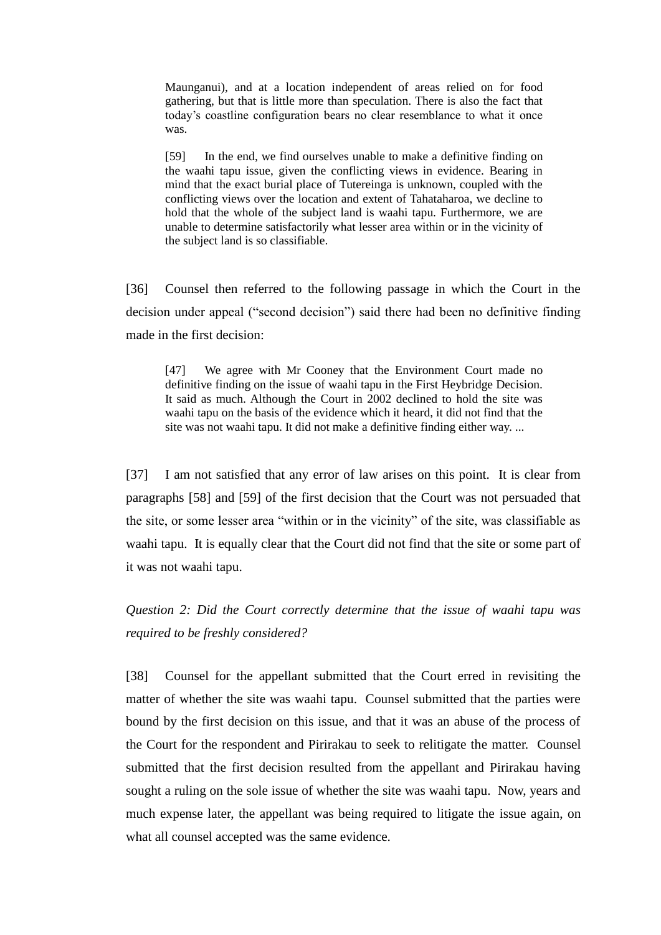Maunganui), and at a location independent of areas relied on for food gathering, but that is little more than speculation. There is also the fact that today's coastline configuration bears no clear resemblance to what it once was.

[59] In the end, we find ourselves unable to make a definitive finding on the waahi tapu issue, given the conflicting views in evidence. Bearing in mind that the exact burial place of Tutereinga is unknown, coupled with the conflicting views over the location and extent of Tahataharoa, we decline to hold that the whole of the subject land is waahi tapu. Furthermore, we are unable to determine satisfactorily what lesser area within or in the vicinity of the subject land is so classifiable.

[36] Counsel then referred to the following passage in which the Court in the decision under appeal ("second decision") said there had been no definitive finding made in the first decision:

[47] We agree with Mr Cooney that the Environment Court made no definitive finding on the issue of waahi tapu in the First Heybridge Decision. It said as much. Although the Court in 2002 declined to hold the site was waahi tapu on the basis of the evidence which it heard, it did not find that the site was not waahi tapu. It did not make a definitive finding either way. ...

[37] I am not satisfied that any error of law arises on this point. It is clear from paragraphs [58] and [59] of the first decision that the Court was not persuaded that the site, or some lesser area "within or in the vicinity" of the site, was classifiable as waahi tapu. It is equally clear that the Court did not find that the site or some part of it was not waahi tapu.

*Question 2: Did the Court correctly determine that the issue of waahi tapu was required to be freshly considered?*

[38] Counsel for the appellant submitted that the Court erred in revisiting the matter of whether the site was waahi tapu. Counsel submitted that the parties were bound by the first decision on this issue, and that it was an abuse of the process of the Court for the respondent and Pirirakau to seek to relitigate the matter. Counsel submitted that the first decision resulted from the appellant and Pirirakau having sought a ruling on the sole issue of whether the site was waahi tapu. Now, years and much expense later, the appellant was being required to litigate the issue again, on what all counsel accepted was the same evidence.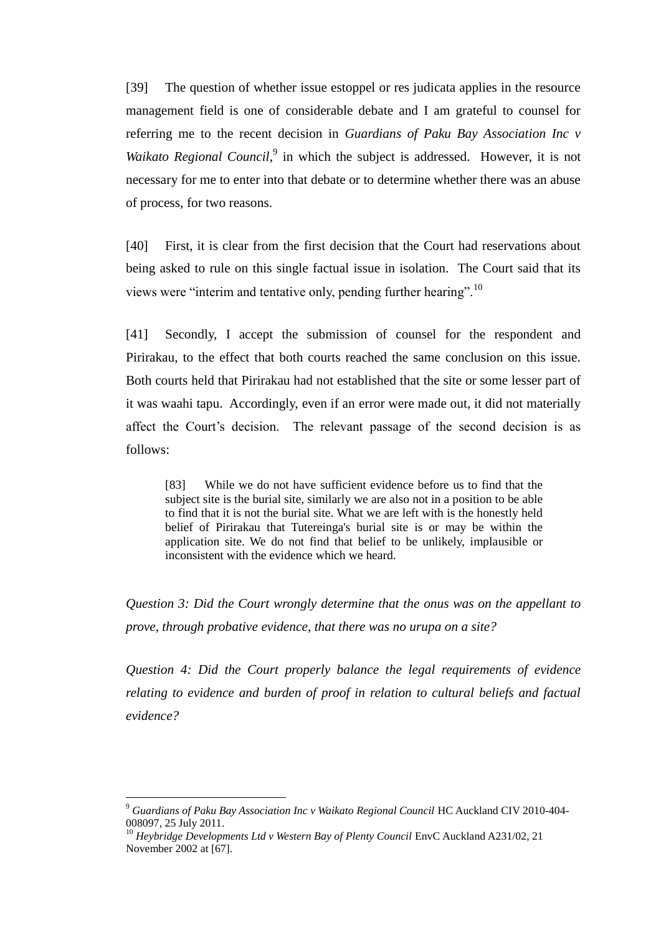[39] The question of whether issue estoppel or res judicata applies in the resource management field is one of considerable debate and I am grateful to counsel for referring me to the recent decision in *Guardians of Paku Bay Association Inc v*  Waikato Regional Council,<sup>9</sup> in which the subject is addressed. However, it is not necessary for me to enter into that debate or to determine whether there was an abuse of process, for two reasons.

[40] First, it is clear from the first decision that the Court had reservations about being asked to rule on this single factual issue in isolation. The Court said that its views were "interim and tentative only, pending further hearing".<sup>10</sup>

<span id="page-11-0"></span>[41] Secondly, I accept the submission of counsel for the respondent and Pirirakau, to the effect that both courts reached the same conclusion on this issue. Both courts held that Pirirakau had not established that the site or some lesser part of it was waahi tapu. Accordingly, even if an error were made out, it did not materially affect the Court's decision. The relevant passage of the second decision is as follows:

[83] While we do not have sufficient evidence before us to find that the subject site is the burial site, similarly we are also not in a position to be able to find that it is not the burial site. What we are left with is the honestly held belief of Pirirakau that Tutereinga's burial site is or may be within the application site. We do not find that belief to be unlikely, implausible or inconsistent with the evidence which we heard.

*Question 3: Did the Court wrongly determine that the onus was on the appellant to prove, through probative evidence, that there was no urupa on a site?*

*Question 4: Did the Court properly balance the legal requirements of evidence relating to evidence and burden of proof in relation to cultural beliefs and factual evidence?*

<sup>9</sup> *Guardians of Paku Bay Association Inc v Waikato Regional Council* HC Auckland CIV 2010-404- 008097, 25 July 2011.

<sup>&</sup>lt;sup>10</sup> Heybridge Developments Ltd v Western Bay of Plenty Council EnvC Auckland A231/02, 21 November 2002 at [67].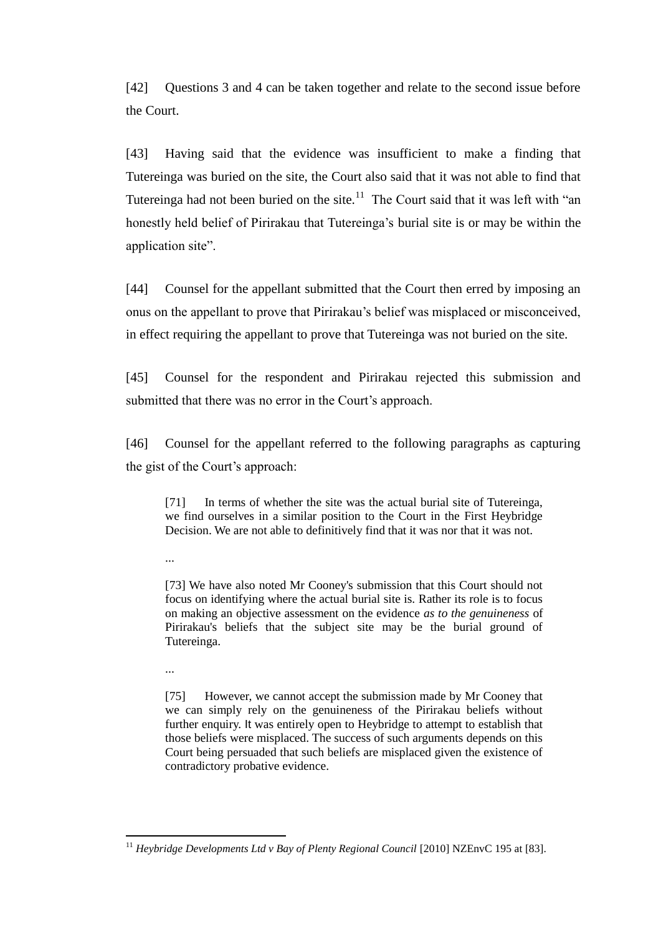[42] Questions 3 and 4 can be taken together and relate to the second issue before the Court.

[43] Having said that the evidence was insufficient to make a finding that Tutereinga was buried on the site, the Court also said that it was not able to find that Tutereinga had not been buried on the site.<sup>11</sup> The Court said that it was left with "an honestly held belief of Pirirakau that Tutereinga's burial site is or may be within the application site".

[44] Counsel for the appellant submitted that the Court then erred by imposing an onus on the appellant to prove that Pirirakau's belief was misplaced or misconceived, in effect requiring the appellant to prove that Tutereinga was not buried on the site.

[45] Counsel for the respondent and Pirirakau rejected this submission and submitted that there was no error in the Court's approach.

[46] Counsel for the appellant referred to the following paragraphs as capturing the gist of the Court's approach:

[71] In terms of whether the site was the actual burial site of Tutereinga, we find ourselves in a similar position to the Court in the First Heybridge Decision. We are not able to definitively find that it was nor that it was not.

...

[73] We have also noted Mr Cooney's submission that this Court should not focus on identifying where the actual burial site is. Rather its role is to focus on making an objective assessment on the evidence *as to the genuineness* of Pirirakau's beliefs that the subject site may be the burial ground of Tutereinga.

...

 $\overline{a}$ 

[75] However, we cannot accept the submission made by Mr Cooney that we can simply rely on the genuineness of the Pirirakau beliefs without further enquiry. It was entirely open to Heybridge to attempt to establish that those beliefs were misplaced. The success of such arguments depends on this Court being persuaded that such beliefs are misplaced given the existence of contradictory probative evidence.

<sup>&</sup>lt;sup>11</sup> *Heybridge Developments Ltd v Bay of Plenty Regional Council* [2010] NZEnvC 195 at [83].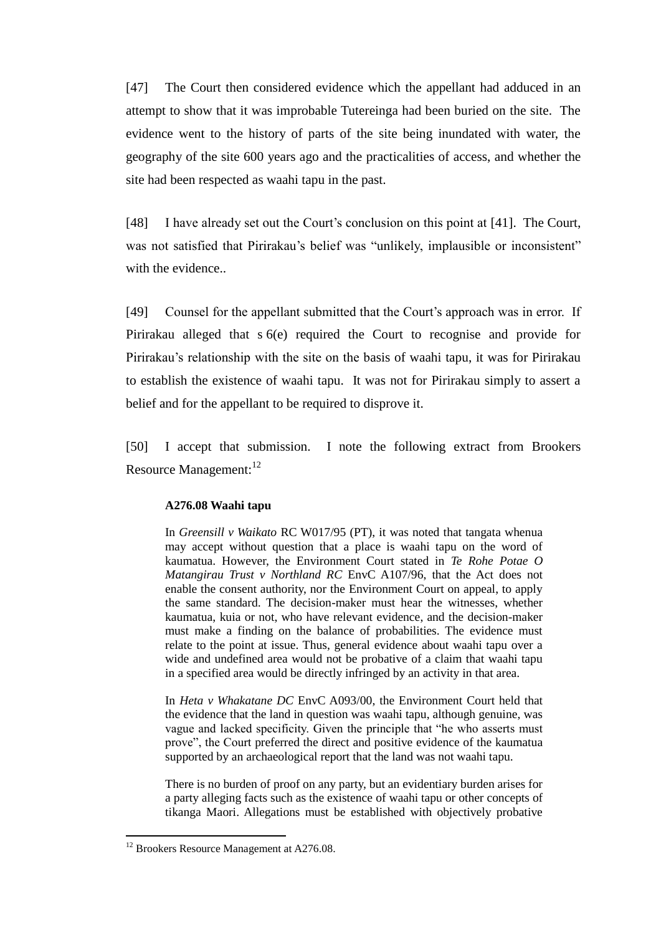[47] The Court then considered evidence which the appellant had adduced in an attempt to show that it was improbable Tutereinga had been buried on the site. The evidence went to the history of parts of the site being inundated with water, the geography of the site 600 years ago and the practicalities of access, and whether the site had been respected as waahi tapu in the past.

[48] I have already set out the Court's conclusion on this point at [\[41\].](#page-11-0) The Court, was not satisfied that Pirirakau's belief was "unlikely, implausible or inconsistent" with the evidence..

[49] Counsel for the appellant submitted that the Court's approach was in error. If Pirirakau alleged that s 6(e) required the Court to recognise and provide for Pirirakau's relationship with the site on the basis of waahi tapu, it was for Pirirakau to establish the existence of waahi tapu. It was not for Pirirakau simply to assert a belief and for the appellant to be required to disprove it.

[50] I accept that submission. I note the following extract from Brookers Resource Management:<sup>12</sup>

#### **A276.08 Waahi tapu**

In *Greensill v Waikato* RC W017/95 (PT), it was noted that tangata whenua may accept without question that a place is waahi tapu on the word of kaumatua. However, the Environment Court stated in *Te Rohe Potae O Matangirau Trust v Northland RC* EnvC A107/96, that the Act does not enable the consent authority, nor the Environment Court on appeal, to apply the same standard. The decision-maker must hear the witnesses, whether kaumatua, kuia or not, who have relevant evidence, and the decision-maker must make a finding on the balance of probabilities. The evidence must relate to the point at issue. Thus, general evidence about waahi tapu over a wide and undefined area would not be probative of a claim that waahi tapu in a specified area would be directly infringed by an activity in that area.

In *[Heta v Whakatane DC](http://www.brookersonline.co.nz/databases/modus/environmentallib/rmresman/link?id=CASE%7eNZ%7eNAT%7eENC%7e2000%7e1483&si=57359&sid=lbj65xu0tegcggcolbskgmxaso0awhw6&hli=0&sp=rmresman)* EnvC A093/00, the Environment Court held that the evidence that the land in question was waahi tapu, although genuine, was vague and lacked specificity. Given the principle that "he who asserts must prove", the Court preferred the direct and positive evidence of the kaumatua supported by an archaeological report that the land was not waahi tapu.

There is no burden of proof on any party, but an evidentiary burden arises for a party alleging facts such as the existence of waahi tapu or other concepts of tikanga Maori. Allegations must be established with objectively probative

 $12$  Brookers Resource Management at A276.08.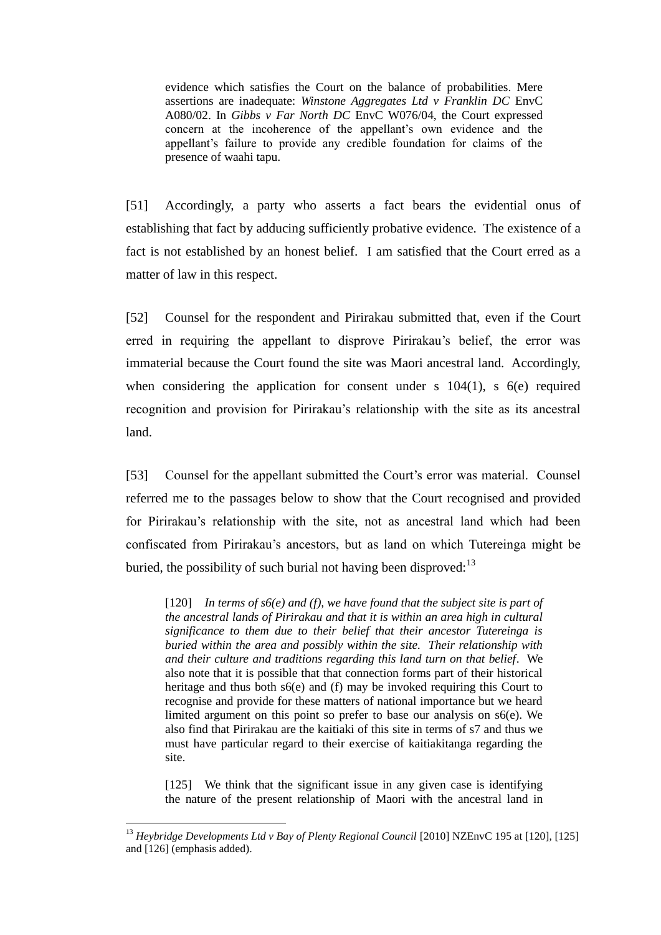evidence which satisfies the Court on the balance of probabilities. Mere assertions are inadequate: *Winstone Aggregates Ltd v Franklin DC* EnvC A080/02. In *Gibbs v Far North DC* EnvC W076/04, the Court expressed concern at the incoherence of the appellant's own evidence and the appellant's failure to provide any credible foundation for claims of the presence of waahi tapu.

[51] Accordingly, a party who asserts a fact bears the evidential onus of establishing that fact by adducing sufficiently probative evidence. The existence of a fact is not established by an honest belief. I am satisfied that the Court erred as a matter of law in this respect.

[52] Counsel for the respondent and Pirirakau submitted that, even if the Court erred in requiring the appellant to disprove Pirirakau's belief, the error was immaterial because the Court found the site was Maori ancestral land. Accordingly, when considering the application for consent under s  $104(1)$ , s  $6(e)$  required recognition and provision for Pirirakau's relationship with the site as its ancestral land.

[53] Counsel for the appellant submitted the Court's error was material. Counsel referred me to the passages below to show that the Court recognised and provided for Pirirakau's relationship with the site, not as ancestral land which had been confiscated from Pirirakau's ancestors, but as land on which Tutereinga might be buried, the possibility of such burial not having been disproved: $13$ 

 $[120]$  *In terms of s6(e) and (f), we have found that the subject site is part of the ancestral lands of Pirirakau and that it is within an area high in cultural significance to them due to their belief that their ancestor Tutereinga is buried within the area and possibly within the site. Their relationship with and their culture and traditions regarding this land turn on that belief*. We also note that it is possible that that connection forms part of their historical heritage and thus both s6(e) and (f) may be invoked requiring this Court to recognise and provide for these matters of national importance but we heard limited argument on this point so prefer to base our analysis on s6(e). We also find that Pirirakau are the kaitiaki of this site in terms of s7 and thus we must have particular regard to their exercise of kaitiakitanga regarding the site.

[125] We think that the significant issue in any given case is identifying the nature of the present relationship of Maori with the ancestral land in

<sup>&</sup>lt;sup>13</sup> Heybridge Developments Ltd v Bay of Plenty Regional Council [2010] NZEnvC 195 at [120], [125] and [126] (emphasis added).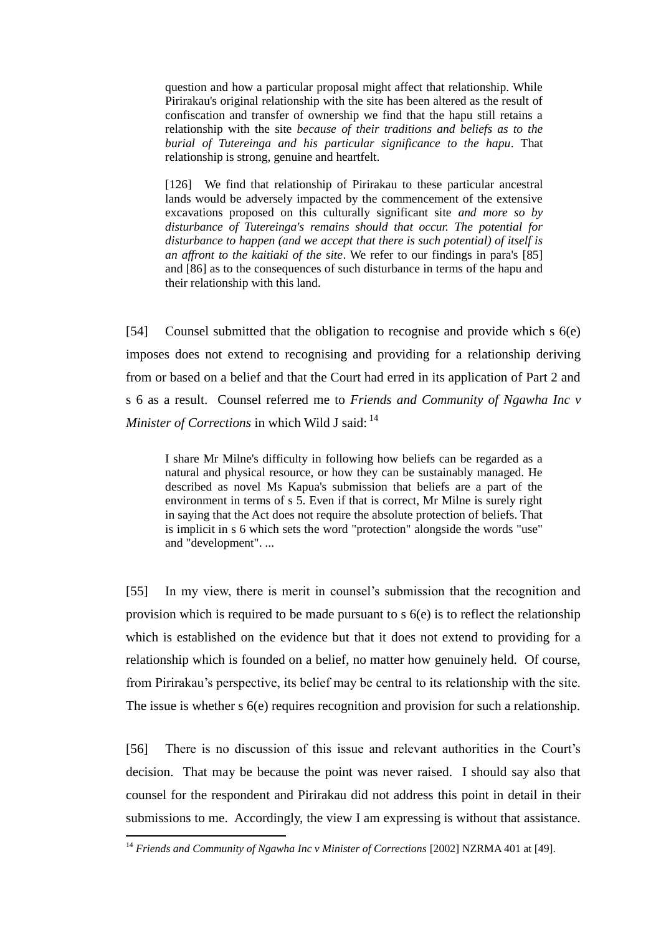question and how a particular proposal might affect that relationship. While Pirirakau's original relationship with the site has been altered as the result of confiscation and transfer of ownership we find that the hapu still retains a relationship with the site *because of their traditions and beliefs as to the burial of Tutereinga and his particular significance to the hapu*. That relationship is strong, genuine and heartfelt.

[126] We find that relationship of Pirirakau to these particular ancestral lands would be adversely impacted by the commencement of the extensive excavations proposed on this culturally significant site *and more so by disturbance of Tutereinga's remains should that occur. The potential for disturbance to happen (and we accept that there is such potential) of itself is an affront to the kaitiaki of the site*. We refer to our findings in para's [85] and [86] as to the consequences of such disturbance in terms of the hapu and their relationship with this land.

[54] Counsel submitted that the obligation to recognise and provide which s 6(e) imposes does not extend to recognising and providing for a relationship deriving from or based on a belief and that the Court had erred in its application of Part 2 and s 6 as a result. Counsel referred me to *Friends and Community of Ngawha Inc v Minister of Corrections* in which Wild J said: <sup>14</sup>

I share Mr Milne's difficulty in following how beliefs can be regarded as a natural and physical resource, or how they can be sustainably managed. He described as novel Ms Kapua's submission that beliefs are a part of the environment in terms of s 5. Even if that is correct, Mr Milne is surely right in saying that the Act does not require the absolute protection of beliefs. That is implicit in s 6 which sets the word "protection" alongside the words "use" and "development". ...

[55] In my view, there is merit in counsel's submission that the recognition and provision which is required to be made pursuant to s 6(e) is to reflect the relationship which is established on the evidence but that it does not extend to providing for a relationship which is founded on a belief, no matter how genuinely held. Of course, from Pirirakau's perspective, its belief may be central to its relationship with the site. The issue is whether s 6(e) requires recognition and provision for such a relationship.

[56] There is no discussion of this issue and relevant authorities in the Court's decision. That may be because the point was never raised. I should say also that counsel for the respondent and Pirirakau did not address this point in detail in their submissions to me. Accordingly, the view I am expressing is without that assistance.

<sup>14</sup> *Friends and Community of Ngawha Inc v Minister of Corrections* [2002] NZRMA 401 at [49].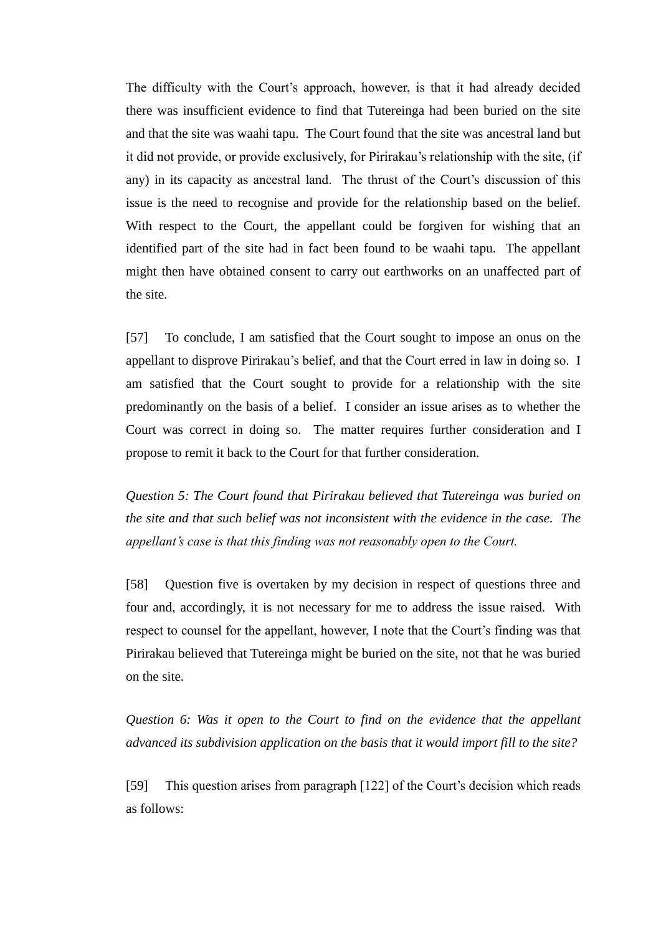The difficulty with the Court's approach, however, is that it had already decided there was insufficient evidence to find that Tutereinga had been buried on the site and that the site was waahi tapu. The Court found that the site was ancestral land but it did not provide, or provide exclusively, for Pirirakau's relationship with the site, (if any) in its capacity as ancestral land. The thrust of the Court's discussion of this issue is the need to recognise and provide for the relationship based on the belief. With respect to the Court, the appellant could be forgiven for wishing that an identified part of the site had in fact been found to be waahi tapu. The appellant might then have obtained consent to carry out earthworks on an unaffected part of the site.

[57] To conclude, I am satisfied that the Court sought to impose an onus on the appellant to disprove Pirirakau's belief, and that the Court erred in law in doing so. I am satisfied that the Court sought to provide for a relationship with the site predominantly on the basis of a belief. I consider an issue arises as to whether the Court was correct in doing so. The matter requires further consideration and I propose to remit it back to the Court for that further consideration.

*Question 5: The Court found that Pirirakau believed that Tutereinga was buried on the site and that such belief was not inconsistent with the evidence in the case. The appellant's case is that this finding was not reasonably open to the Court.*

[58] Question five is overtaken by my decision in respect of questions three and four and, accordingly, it is not necessary for me to address the issue raised. With respect to counsel for the appellant, however, I note that the Court's finding was that Pirirakau believed that Tutereinga might be buried on the site, not that he was buried on the site.

*Question 6: Was it open to the Court to find on the evidence that the appellant advanced its subdivision application on the basis that it would import fill to the site?*

[59] This question arises from paragraph [122] of the Court's decision which reads as follows: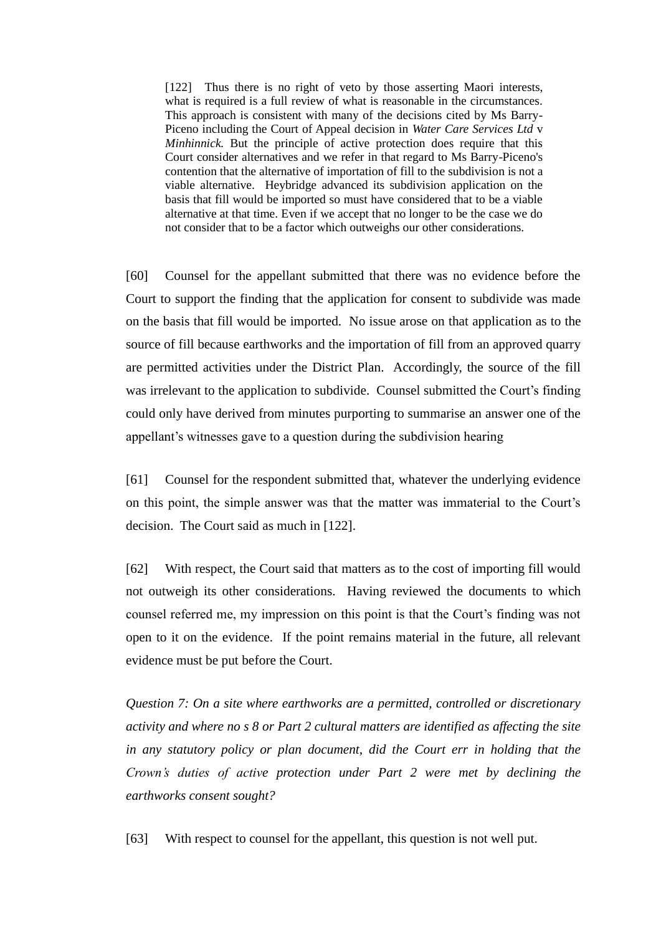[122] Thus there is no right of veto by those asserting Maori interests, what is required is a full review of what is reasonable in the circumstances. This approach is consistent with many of the decisions cited by Ms Barry-Piceno including the Court of Appeal decision in *Water Care Services Ltd* v *Minhinnick*. But the principle of active protection does require that this Court consider alternatives and we refer in that regard to Ms Barry-Piceno's contention that the alternative of importation of fill to the subdivision is not a viable alternative. Heybridge advanced its subdivision application on the basis that fill would be imported so must have considered that to be a viable alternative at that time. Even if we accept that no longer to be the case we do not consider that to be a factor which outweighs our other considerations.

[60] Counsel for the appellant submitted that there was no evidence before the Court to support the finding that the application for consent to subdivide was made on the basis that fill would be imported. No issue arose on that application as to the source of fill because earthworks and the importation of fill from an approved quarry are permitted activities under the District Plan. Accordingly, the source of the fill was irrelevant to the application to subdivide. Counsel submitted the Court's finding could only have derived from minutes purporting to summarise an answer one of the appellant's witnesses gave to a question during the subdivision hearing

[61] Counsel for the respondent submitted that, whatever the underlying evidence on this point, the simple answer was that the matter was immaterial to the Court's decision. The Court said as much in [122].

[62] With respect, the Court said that matters as to the cost of importing fill would not outweigh its other considerations. Having reviewed the documents to which counsel referred me, my impression on this point is that the Court's finding was not open to it on the evidence. If the point remains material in the future, all relevant evidence must be put before the Court.

*Question 7: On a site where earthworks are a permitted, controlled or discretionary activity and where no s 8 or Part 2 cultural matters are identified as affecting the site in any statutory policy or plan document, did the Court err in holding that the Crown's duties of active protection under Part 2 were met by declining the earthworks consent sought?*

[63] With respect to counsel for the appellant, this question is not well put.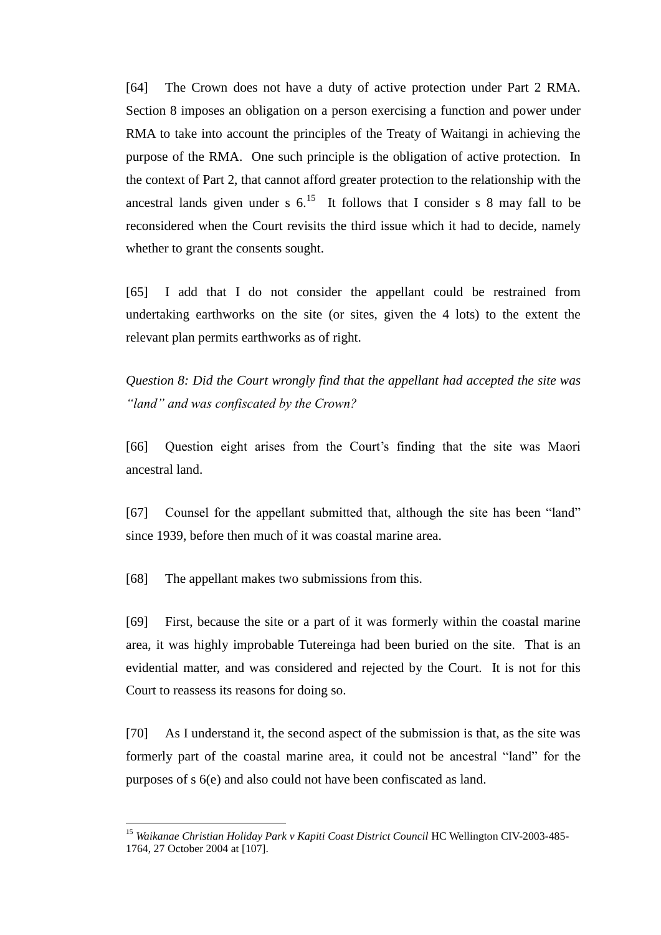[64] The Crown does not have a duty of active protection under Part 2 RMA. Section 8 imposes an obligation on a person exercising a function and power under RMA to take into account the principles of the Treaty of Waitangi in achieving the purpose of the RMA. One such principle is the obligation of active protection. In the context of Part 2, that cannot afford greater protection to the relationship with the ancestral lands given under s  $6^{15}$ . It follows that I consider s 8 may fall to be reconsidered when the Court revisits the third issue which it had to decide, namely whether to grant the consents sought.

[65] I add that I do not consider the appellant could be restrained from undertaking earthworks on the site (or sites, given the 4 lots) to the extent the relevant plan permits earthworks as of right.

*Question 8: Did the Court wrongly find that the appellant had accepted the site was "land" and was confiscated by the Crown?*

[66] Question eight arises from the Court's finding that the site was Maori ancestral land.

[67] Counsel for the appellant submitted that, although the site has been "land" since 1939, before then much of it was coastal marine area.

[68] The appellant makes two submissions from this.

 $\overline{a}$ 

[69] First, because the site or a part of it was formerly within the coastal marine area, it was highly improbable Tutereinga had been buried on the site. That is an evidential matter, and was considered and rejected by the Court. It is not for this Court to reassess its reasons for doing so.

[70] As I understand it, the second aspect of the submission is that, as the site was formerly part of the coastal marine area, it could not be ancestral "land" for the purposes of s 6(e) and also could not have been confiscated as land.

<sup>15</sup> *Waikanae Christian Holiday Park v Kapiti Coast District Council* HC Wellington CIV-2003-485- 1764, 27 October 2004 at [107].